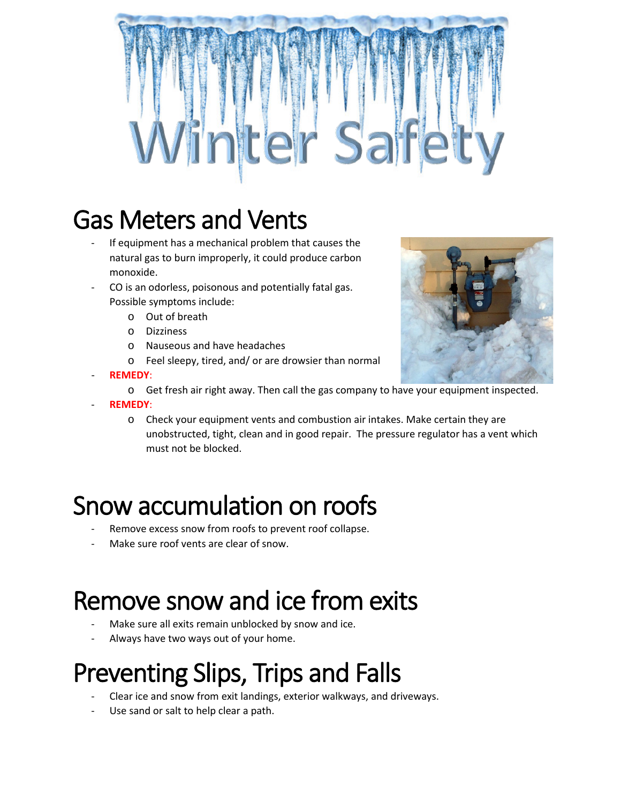

# Gas Meters and Vents

- If equipment has a mechanical problem that causes the natural gas to burn improperly, it could produce carbon monoxide.
- CO is an odorless, poisonous and potentially fatal gas. Possible symptoms include:
	- o Out of breath
	- o Dizziness
	- o Nauseous and have headaches
	- o Feel sleepy, tired, and/ or are drowsier than normal
- **REMEDY**:



- **REMEDY**:
	- o Check your equipment vents and combustion air intakes. Make certain they are unobstructed, tight, clean and in good repair. The pressure regulator has a vent which must not be blocked.

#### Snow accumulation on roofs

- Remove excess snow from roofs to prevent roof collapse.
- Make sure roof vents are clear of snow.

### Remove snow and ice from exits

- Make sure all exits remain unblocked by snow and ice.
- Always have two ways out of your home.

# Preventing Slips, Trips and Falls

- Clear ice and snow from exit landings, exterior walkways, and driveways.
- Use sand or salt to help clear a path.